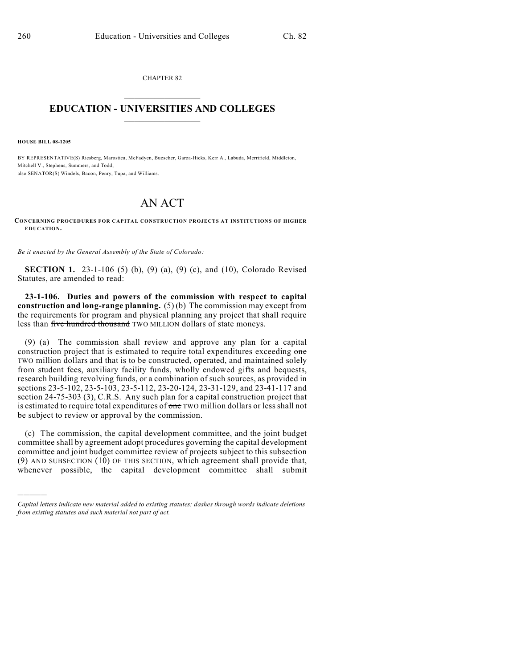CHAPTER 82  $\mathcal{L}_\text{max}$  . The set of the set of the set of the set of the set of the set of the set of the set of the set of the set of the set of the set of the set of the set of the set of the set of the set of the set of the set

## **EDUCATION - UNIVERSITIES AND COLLEGES**  $\_$

**HOUSE BILL 08-1205**

)))))

BY REPRESENTATIVE(S) Riesberg, Marostica, McFadyen, Buescher, Garza-Hicks, Kerr A., Labuda, Merrifield, Middleton, Mitchell V., Stephens, Summers, and Todd; also SENATOR(S) Windels, Bacon, Penry, Tupa, and Williams.

## AN ACT

**CONCERNING PROCEDURES FOR CAPITAL CONSTRUCTION PROJECTS AT INSTITUTIONS OF HIGHER EDUCATION.**

*Be it enacted by the General Assembly of the State of Colorado:*

**SECTION 1.** 23-1-106 (5) (b), (9) (a), (9) (c), and (10), Colorado Revised Statutes, are amended to read:

**23-1-106. Duties and powers of the commission with respect to capital construction and long-range planning.** (5) (b) The commission may except from the requirements for program and physical planning any project that shall require less than five hundred thousand TWO MILLION dollars of state moneys.

(9) (a) The commission shall review and approve any plan for a capital construction project that is estimated to require total expenditures exceeding one TWO million dollars and that is to be constructed, operated, and maintained solely from student fees, auxiliary facility funds, wholly endowed gifts and bequests, research building revolving funds, or a combination of such sources, as provided in sections 23-5-102, 23-5-103, 23-5-112, 23-20-124, 23-31-129, and 23-41-117 and section 24-75-303 (3), C.R.S. Any such plan for a capital construction project that is estimated to require total expenditures of one TWO million dollars or less shall not be subject to review or approval by the commission.

(c) The commission, the capital development committee, and the joint budget committee shall by agreement adopt procedures governing the capital development committee and joint budget committee review of projects subject to this subsection (9) AND SUBSECTION (10) OF THIS SECTION, which agreement shall provide that, whenever possible, the capital development committee shall submit

*Capital letters indicate new material added to existing statutes; dashes through words indicate deletions from existing statutes and such material not part of act.*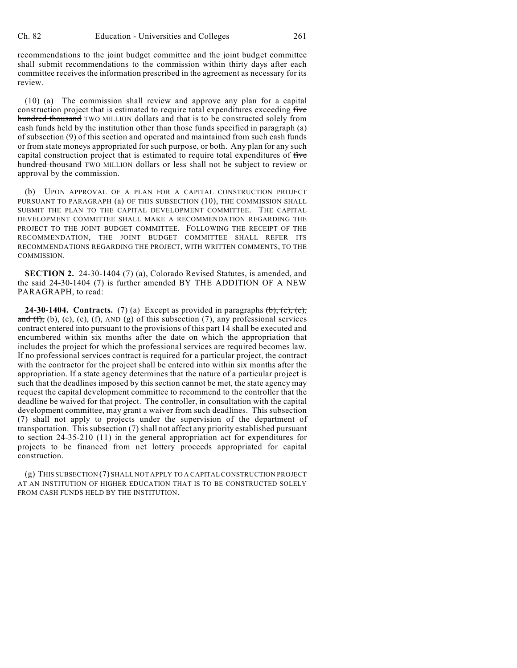recommendations to the joint budget committee and the joint budget committee shall submit recommendations to the commission within thirty days after each committee receives the information prescribed in the agreement as necessary for its review.

(10) (a) The commission shall review and approve any plan for a capital construction project that is estimated to require total expenditures exceeding five hundred thousand TWO MILLION dollars and that is to be constructed solely from cash funds held by the institution other than those funds specified in paragraph (a) of subsection (9) of this section and operated and maintained from such cash funds or from state moneys appropriated for such purpose, or both. Any plan for any such capital construction project that is estimated to require total expenditures of five hundred thousand TWO MILLION dollars or less shall not be subject to review or approval by the commission.

(b) UPON APPROVAL OF A PLAN FOR A CAPITAL CONSTRUCTION PROJECT PURSUANT TO PARAGRAPH (a) OF THIS SUBSECTION (10), THE COMMISSION SHALL SUBMIT THE PLAN TO THE CAPITAL DEVELOPMENT COMMITTEE. THE CAPITAL DEVELOPMENT COMMITTEE SHALL MAKE A RECOMMENDATION REGARDING THE PROJECT TO THE JOINT BUDGET COMMITTEE. FOLLOWING THE RECEIPT OF THE RECOMMENDATION, THE JOINT BUDGET COMMITTEE SHALL REFER ITS RECOMMENDATIONS REGARDING THE PROJECT, WITH WRITTEN COMMENTS, TO THE COMMISSION.

**SECTION 2.** 24-30-1404 (7) (a), Colorado Revised Statutes, is amended, and the said 24-30-1404 (7) is further amended BY THE ADDITION OF A NEW PARAGRAPH, to read:

**24-30-1404. Contracts.** (7) (a) Except as provided in paragraphs  $(\mathbf{b})$ ,  $(\mathbf{c})$ ,  $(\mathbf{e})$ , and  $(f)$ , (b), (c), (e), (f), AND (g) of this subsection (7), any professional services contract entered into pursuant to the provisions of this part 14 shall be executed and encumbered within six months after the date on which the appropriation that includes the project for which the professional services are required becomes law. If no professional services contract is required for a particular project, the contract with the contractor for the project shall be entered into within six months after the appropriation. If a state agency determines that the nature of a particular project is such that the deadlines imposed by this section cannot be met, the state agency may request the capital development committee to recommend to the controller that the deadline be waived for that project. The controller, in consultation with the capital development committee, may grant a waiver from such deadlines. This subsection (7) shall not apply to projects under the supervision of the department of transportation. This subsection (7) shall not affect any priority established pursuant to section 24-35-210 (11) in the general appropriation act for expenditures for projects to be financed from net lottery proceeds appropriated for capital construction.

(g) THIS SUBSECTION (7) SHALL NOT APPLY TO A CAPITAL CONSTRUCTION PROJECT AT AN INSTITUTION OF HIGHER EDUCATION THAT IS TO BE CONSTRUCTED SOLELY FROM CASH FUNDS HELD BY THE INSTITUTION.